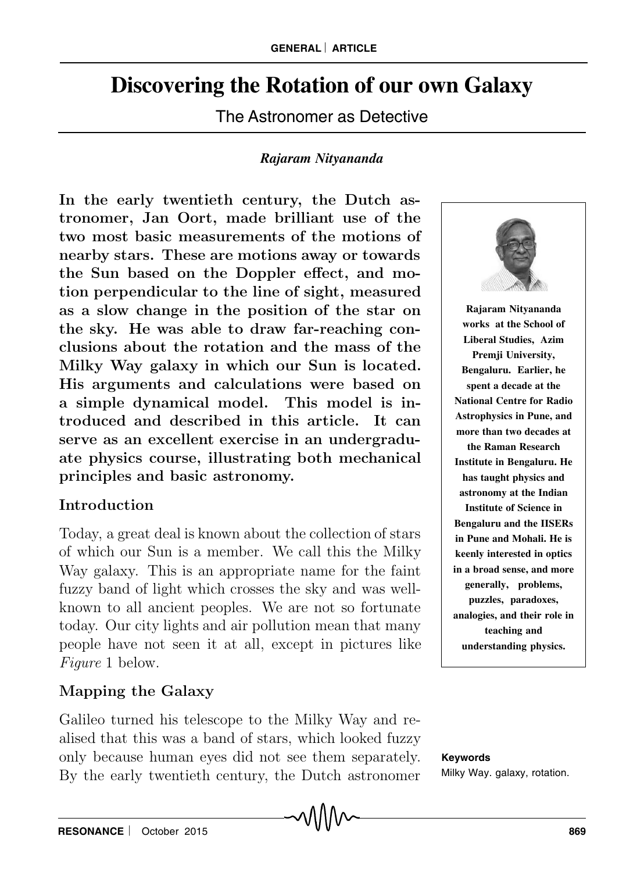# **Discovering the Rotation of our own Galaxy**

The Astronomer as Detective

### *Rajaram Nityananda*

In the early twentieth century, the Dutch astronomer, Jan Oort, made brilliant use of the two most basic measurements of the motions of nearby stars. These are motions away or towards the Sun based on the Doppler effect, and motion perpendicular to the line of sight, measured as a slow change in the position of the star on the sky. He was able to draw far-reaching conclusions about the rotation and the mass of the Milky Way galaxy in which our Sun is located. His arguments and calculations were based on a simple dynamical model. This model is introduced and described in this article. It can serve as an excellent exercise in an undergraduate physics course, illustrating both mechanical principles and basic astronomy.

## Introduction

Today, a great deal is known about the collection of stars of which our Sun is a member. We call this the Milky Way galaxy. This is an appropriate name for the faint fuzzy band of light which crosses the sky and was wellknown to all ancient peoples. We are not so fortunate today. Our city lights and air pollution mean that many people have not seen it at all, except in pictures like Figure 1 below.

## Mapping the Galaxy

Galileo turned his telescope to the Milky Way and realised that this was a band of stars, which looked fuzzy only because human eyes did not see them separately. By the early twentieth century, the Dutch astronomer



**Rajaram Nityananda works at the School of Liberal Studies, Azim Premji University, Bengaluru. Earlier, he spent a decade at the National Centre for Radio Astrophysics in Pune, and more than two decades at the Raman Research Institute in Bengaluru. He has taught physics and astronomy at the Indian Institute of Science in Bengaluru and the IISERs in Pune and Mohali. He is keenly interested in optics in a broad sense, and more generally, problems, puzzles, paradoxes, analogies, and their role in teaching and understanding physics.**

**Keywords** Milky Way. galaxy, rotation.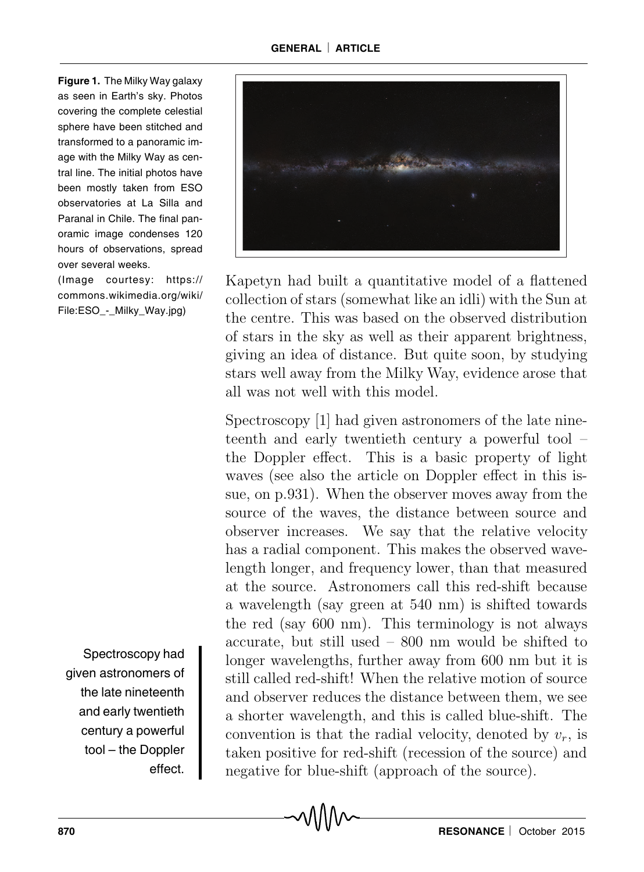**Figure 1.** The Milky Way galaxy as seen in Earth's sky. Photos covering the complete celestial sphere have been stitched and transformed to a panoramic image with the Milky Way as central line. The initial photos have been mostly taken from ESO observatories at La Silla and Paranal in Chile. The final panoramic image condenses 120 hours of observations, spread over several weeks.

(Image courtesy: https:// commons.wikimedia.org/wiki/ File:ESO - Milky Way.jpg)

Spectroscopy had given astronomers of the late nineteenth and early twentieth century a powerful tool – the Doppler effect.



Kapetyn had built a quantitative model of a flattened collection of stars (somewhat like an idli) with the Sun at the centre. This was based on the observed distribution of stars in the sky as well as their apparent brightness, giving an idea of distance. But quite soon, by studying stars well away from the Milky Way, evidence arose that all was not well with this model.

Spectroscopy [1] had given astronomers of the late nineteenth and early twentieth century a powerful tool – the Doppler effect. This is a basic property of light waves (see also the article on Doppler effect in this issue, on p.931). When the observer moves away from the source of the waves, the distance between source and observer increases. We say that the relative velocity has a radial component. This makes the observed wavelength longer, and frequency lower, than that measured at the source. Astronomers call this red-shift because a wavelength (say green at 540 nm) is shifted towards the red (say 600 nm). This terminology is not always accurate, but still used – 800 nm would be shifted to longer wavelengths, further away from 600 nm but it is still called red-shift! When the relative motion of source and observer reduces the distance between them, we see a shorter wavelength, and this is called blue-shift. The convention is that the radial velocity, denoted by  $v_r$ , is taken positive for red-shift (recession of the source) and negative for blue-shift (approach of the source).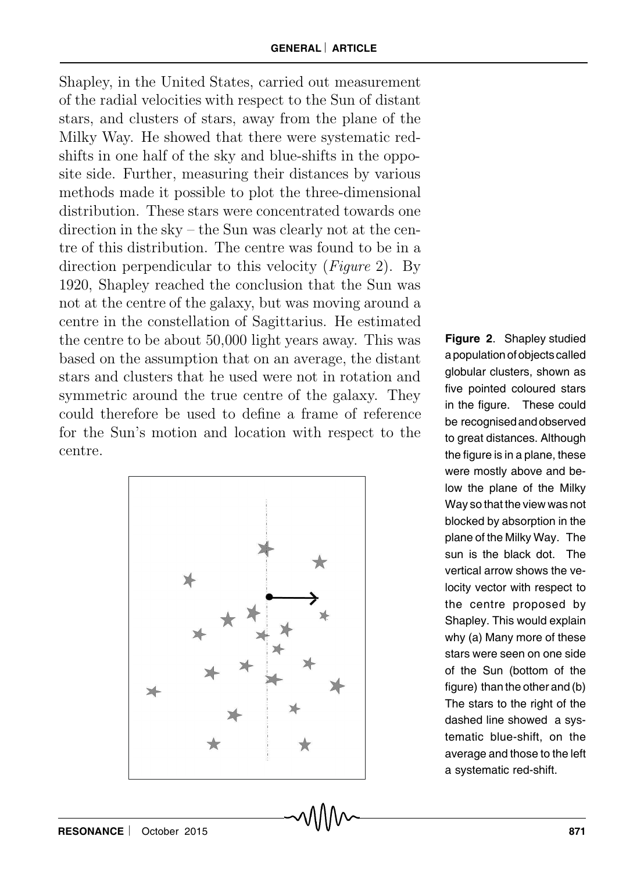Shapley, in the United States, carried out measurement of the radial velocities with respect to the Sun of distant stars, and clusters of stars, away from the plane of the Milky Way. He showed that there were systematic redshifts in one half of the sky and blue-shifts in the opposite side. Further, measuring their distances by various methods made it possible to plot the three-dimensional distribution. These stars were concentrated towards one direction in the sky – the Sun was clearly not at the centre of this distribution. The centre was found to be in a direction perpendicular to this velocity (*Figure 2*). By 1920, Shapley reached the conclusion that the Sun was not at the centre of the galaxy, but was moving around a centre in the constellation of Sagittarius. He estimated the centre to be about 50,000 light years away. This was based on the assumption that on an average, the distant stars and clusters that he used were not in rotation and symmetric around the true centre of the galaxy. They could therefore be used to define a frame of reference for the Sun's motion and location with respect to the centre.



**Figure 2**. Shapley studied a population of objects called globular clusters, shown as five pointed coloured stars in the figure. These could be recognised and observed to great distances. Although the figure is in a plane, these were mostly above and below the plane of the Milky Way so that the view was not blocked by absorption in the plane of the Milky Way. The sun is the black dot. The vertical arrow shows the velocity vector with respect to the centre proposed by Shapley. This would explain why (a) Many more of these stars were seen on one side of the Sun (bottom of the figure) than the other and (b) The stars to the right of the dashed line showed a systematic blue-shift, on the average and those to the left a systematic red-shift.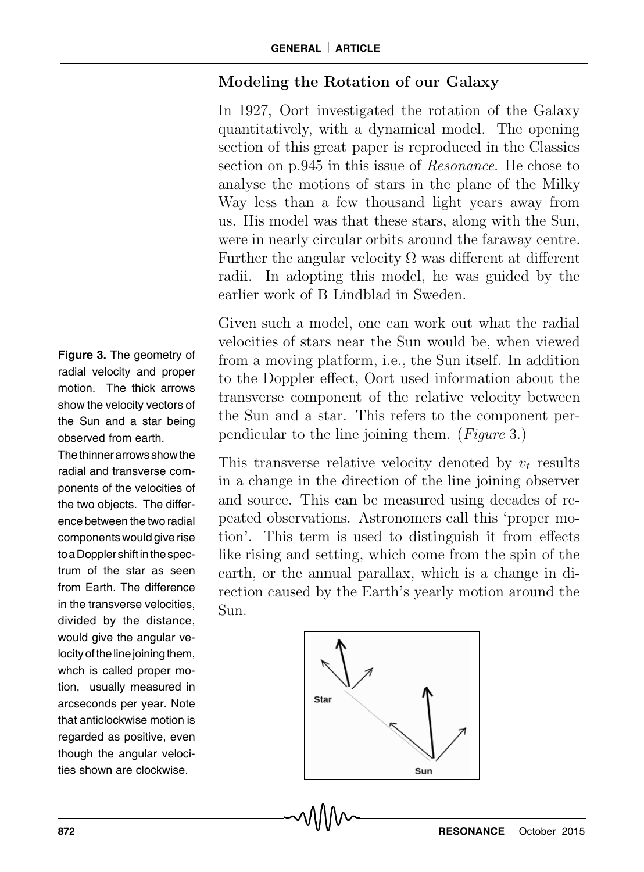## Modeling the Rotation of our Galaxy

In 1927, Oort investigated the rotation of the Galaxy quantitatively, with a dynamical model. The opening section of this great paper is reproduced in the Classics section on p.945 in this issue of Resonance. He chose to analyse the motions of stars in the plane of the Milky Way less than a few thousand light years away from us. His model was that these stars, along with the Sun, were in nearly circular orbits around the faraway centre. Further the angular velocity  $\Omega$  was different at different radii. In adopting this model, he was guided by the earlier work of B Lindblad in Sweden.

Given such a model, one can work out what the radial velocities of stars near the Sun would be, when viewed from a moving platform, i.e., the Sun itself. In addition to the Doppler effect, Oort used information about the transverse component of the relative velocity between the Sun and a star. This refers to the component perpendicular to the line joining them. (Figure 3.)

This transverse relative velocity denoted by  $v_t$  results in a change in the direction of the line joining observer and source. This can be measured using decades of repeated observations. Astronomers call this 'proper motion'. This term is used to distinguish it from effects like rising and setting, which come from the spin of the earth, or the annual parallax, which is a change in direction caused by the Earth's yearly motion around the Sun.



**Figure 3.** The geometry of radial velocity and proper motion. The thick arrows show the velocity vectors of the Sun and a star being observed from earth.

The thinner arrows show the radial and transverse components of the velocities of the two objects. The difference between the two radial components would give rise to a Doppler shift in the spectrum of the star as seen from Earth. The difference in the transverse velocities, divided by the distance, would give the angular velocity of the line joining them, whch is called proper motion, usually measured in arcseconds per year. Note that anticlockwise motion is regarded as positive, even though the angular velocities shown are clockwise.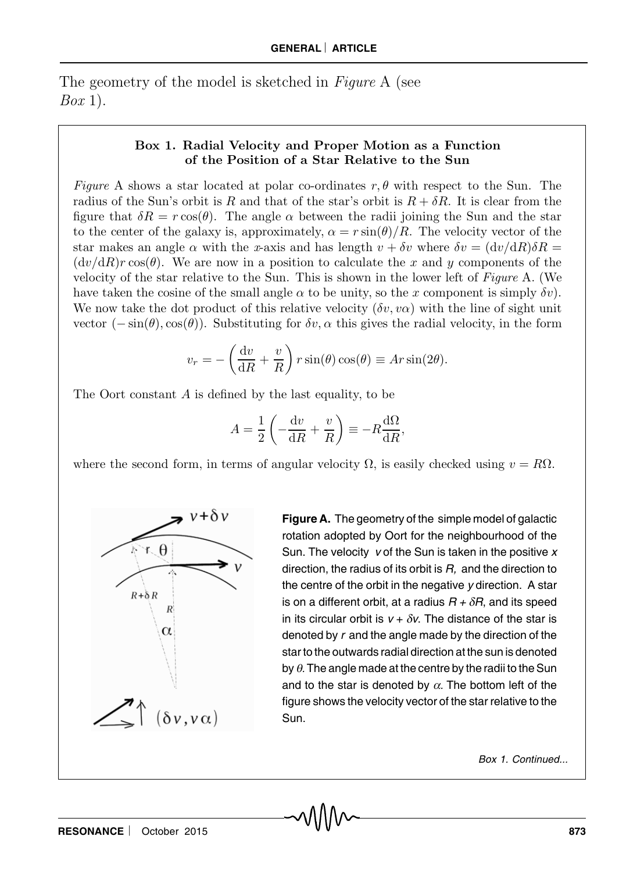The geometry of the model is sketched in Figure A (see  $Box$  1).

#### Box 1. Radial Velocity and Proper Motion as a Function of the Position of a Star Relative to the Sun

Figure A shows a star located at polar co-ordinates r,  $\theta$  with respect to the Sun. The radius of the Sun's orbit is R and that of the star's orbit is  $R + \delta R$ . It is clear from the figure that  $\delta R = r \cos(\theta)$ . The angle  $\alpha$  between the radii joining the Sun and the star to the center of the galaxy is, approximately,  $\alpha = r \sin(\theta)/R$ . The velocity vector of the star makes an angle  $\alpha$  with the x-axis and has length  $v + \delta v$  where  $\delta v = (dv/dR)\delta R =$  $(dv/dR)r\cos(\theta)$ . We are now in a position to calculate the x and y components of the velocity of the star relative to the Sun. This is shown in the lower left of Figure A. (We have taken the cosine of the small angle  $\alpha$  to be unity, so the x component is simply  $\delta v$ . We now take the dot product of this relative velocity  $(\delta v, v\alpha)$  with the line of sight unit vector  $(-\sin(\theta), \cos(\theta))$ . Substituting for  $\delta v$ ,  $\alpha$  this gives the radial velocity, in the form

$$
v_r = -\left(\frac{\mathrm{d}v}{\mathrm{d}R} + \frac{v}{R}\right) r \sin(\theta) \cos(\theta) \equiv Ar \sin(2\theta).
$$

The Oort constant A is defined by the last equality, to be

$$
A = \frac{1}{2} \left( -\frac{\mathrm{d}v}{\mathrm{d}R} + \frac{v}{R} \right) \equiv -R \frac{\mathrm{d}\Omega}{\mathrm{d}R},
$$

where the second form, in terms of angular velocity  $\Omega$ , is easily checked using  $v = R\Omega$ .



**Figure A.** The geometry of the simple model of galactic rotation adopted by Oort for the neighbourhood of the Sun. The velocity v of the Sun is taken in the positive  $x$ direction, the radius of its orbit is  $R$ , and the direction to the centre of the orbit in the negative y direction. A star is on a different orbit, at a radius  $R + \delta R$ , and its speed in its circular orbit is  $v + \delta v$ . The distance of the star is denoted by r and the angle made by the direction of the star to the outwards radial direction at the sun is denoted by  $\theta$ . The angle made at the centre by the radii to the Sun and to the star is denoted by  $\alpha$ . The bottom left of the figure shows the velocity vector of the star relative to the Sun.

Box 1. Continued...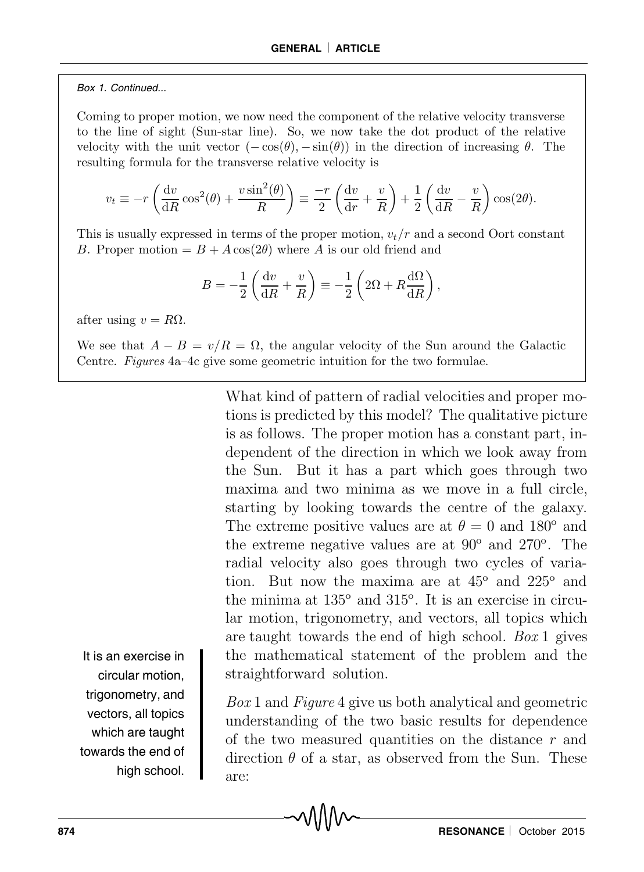#### Box 1. Continued...

Coming to proper motion, we now need the component of the relative velocity transverse to the line of sight (Sun-star line). So, we now take the dot product of the relative velocity with the unit vector  $(-\cos(\theta), -\sin(\theta))$  in the direction of increasing  $\theta$ . The resulting formula for the transverse relative velocity is

$$
v_t \equiv -r \left( \frac{\mathrm{d}v}{\mathrm{d}R} \cos^2(\theta) + \frac{v \sin^2(\theta)}{R} \right) \equiv \frac{-r}{2} \left( \frac{\mathrm{d}v}{\mathrm{d}r} + \frac{v}{R} \right) + \frac{1}{2} \left( \frac{\mathrm{d}v}{\mathrm{d}R} - \frac{v}{R} \right) \cos(2\theta).
$$

This is usually expressed in terms of the proper motion,  $v_t/r$  and a second Oort constant B. Proper motion  $= B + A \cos(2\theta)$  where A is our old friend and

$$
B = -\frac{1}{2} \left( \frac{\mathrm{d}v}{\mathrm{d}R} + \frac{v}{R} \right) \equiv -\frac{1}{2} \left( 2\Omega + R \frac{\mathrm{d}\Omega}{\mathrm{d}R} \right),
$$

after using  $v = R\Omega$ .

We see that  $A - B = v/R = \Omega$ , the angular velocity of the Sun around the Galactic Centre. Figures 4a–4c give some geometric intuition for the two formulae.

> What kind of pattern of radial velocities and proper motions is predicted by this model? The qualitative picture is as follows. The proper motion has a constant part, independent of the direction in which we look away from the Sun. But it has a part which goes through two maxima and two minima as we move in a full circle, starting by looking towards the centre of the galaxy. The extreme positive values are at  $\theta = 0$  and 180<sup>o</sup> and the extreme negative values are at  $90^{\circ}$  and  $270^{\circ}$ . The radial velocity also goes through two cycles of variation. But now the maxima are at  $45^{\circ}$  and  $225^{\circ}$  and the minima at  $135^{\circ}$  and  $315^{\circ}$ . It is an exercise in circular motion, trigonometry, and vectors, all topics which are taught towards the end of high school. Box 1 gives the mathematical statement of the problem and the straightforward solution.

> Box 1 and Figure 4 give us both analytical and geometric understanding of the two basic results for dependence of the two measured quantities on the distance r and direction  $\theta$  of a star, as observed from the Sun. These are:

It is an exercise in circular motion, trigonometry, and vectors, all topics which are taught towards the end of high school.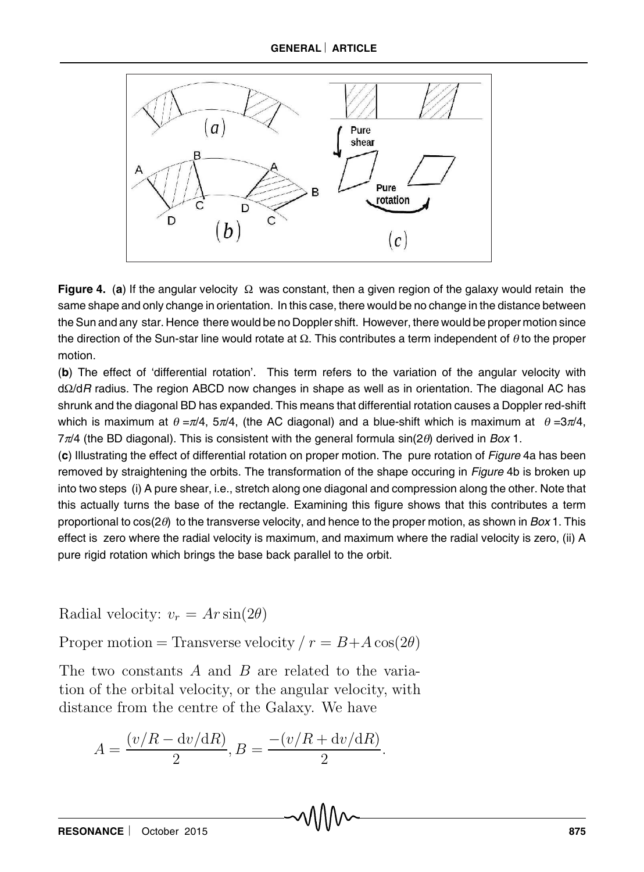

**Figure 4.** (**a**) If the angular velocity Ω was constant, then a given region of the galaxy would retain the same shape and only change in orientation. In this case, there would be no change in the distance between the Sun and any star. Hence there would be no Doppler shift. However, there would be proper motion since the direction of the Sun-star line would rotate at  $\Omega$ . This contributes a term independent of  $\theta$  to the proper motion.

(**b**) The effect of 'differential rotation'. This term refers to the variation of the angular velocity with dΩ/dR radius. The region ABCD now changes in shape as well as in orientation. The diagonal AC has shrunk and the diagonal BD has expanded. This means that differential rotation causes a Doppler red-shift which is maximum at  $\theta = \pi/4$ ,  $5\pi/4$ , (the AC diagonal) and a blue-shift which is maximum at  $\theta = 3\pi/4$ ,  $7\pi/4$  (the BD diagonal). This is consistent with the general formula sin( $2\theta$ ) derived in Box 1.

(**c**) Illustrating the effect of differential rotation on proper motion. The pure rotation of Figure 4a has been removed by straightening the orbits. The transformation of the shape occuring in Figure 4b is broken up into two steps (i) A pure shear, i.e., stretch along one diagonal and compression along the other. Note that this actually turns the base of the rectangle. Examining this figure shows that this contributes a term proportional to  $cos(2\theta)$  to the transverse velocity, and hence to the proper motion, as shown in Box 1. This effect is zero where the radial velocity is maximum, and maximum where the radial velocity is zero, (ii) A pure rigid rotation which brings the base back parallel to the orbit.

Radial velocity:  $v_r = Ar \sin(2\theta)$ 

Proper motion = Transverse velocity  $r = B + A \cos(2\theta)$ 

The two constants A and B are related to the variation of the orbital velocity, or the angular velocity, with distance from the centre of the Galaxy. We have

$$
A = \frac{(v/R - dv/dR)}{2}, B = \frac{-(v/R + dv/dR)}{2}.
$$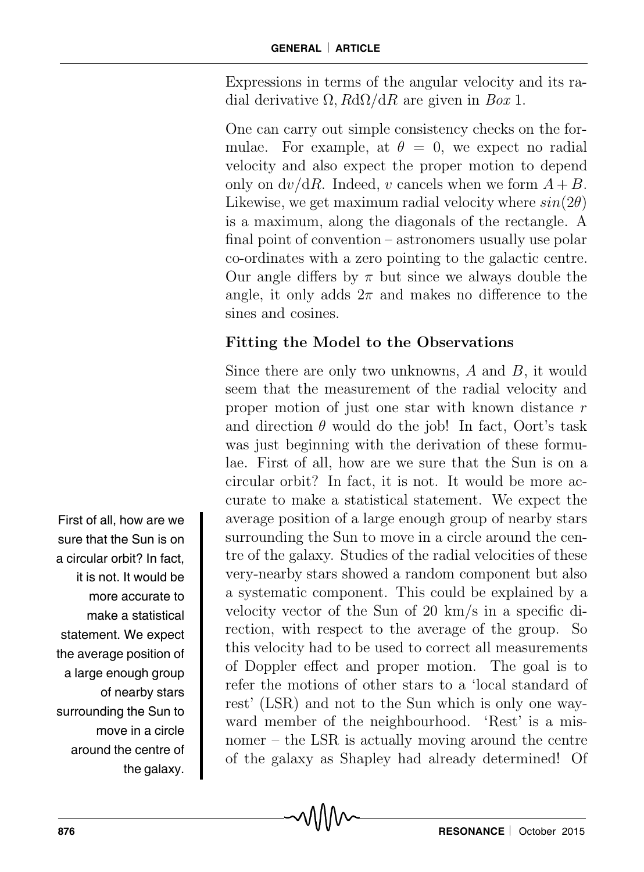Expressions in terms of the angular velocity and its radial derivative  $\Omega$ ,  $R d\Omega/dR$  are given in Box 1.

One can carry out simple consistency checks on the formulae. For example, at  $\theta = 0$ , we expect no radial velocity and also expect the proper motion to depend only on  $dv/dR$ . Indeed, v cancels when we form  $A + B$ . Likewise, we get maximum radial velocity where  $sin(2\theta)$ is a maximum, along the diagonals of the rectangle. A final point of convention – astronomers usually use polar co-ordinates with a zero pointing to the galactic centre. Our angle differs by  $\pi$  but since we always double the angle, it only adds  $2\pi$  and makes no difference to the sines and cosines.

## Fitting the Model to the Observations

Since there are only two unknowns, A and B, it would seem that the measurement of the radial velocity and proper motion of just one star with known distance  $r$ and direction  $\theta$  would do the job! In fact, Oort's task was just beginning with the derivation of these formulae. First of all, how are we sure that the Sun is on a circular orbit? In fact, it is not. It would be more accurate to make a statistical statement. We expect the average position of a large enough group of nearby stars surrounding the Sun to move in a circle around the centre of the galaxy. Studies of the radial velocities of these very-nearby stars showed a random component but also a systematic component. This could be explained by a velocity vector of the Sun of 20 km/s in a specific direction, with respect to the average of the group. So this velocity had to be used to correct all measurements of Doppler effect and proper motion. The goal is to refer the motions of other stars to a 'local standard of rest' (LSR) and not to the Sun which is only one wayward member of the neighbourhood. 'Rest' is a misnomer – the LSR is actually moving around the centre of the galaxy as Shapley had already determined! Of

First of all, how are we sure that the Sun is on a circular orbit? In fact, it is not. It would be more accurate to make a statistical statement. We expect the average position of a large enough group of nearby stars surrounding the Sun to move in a circle around the centre of the galaxy.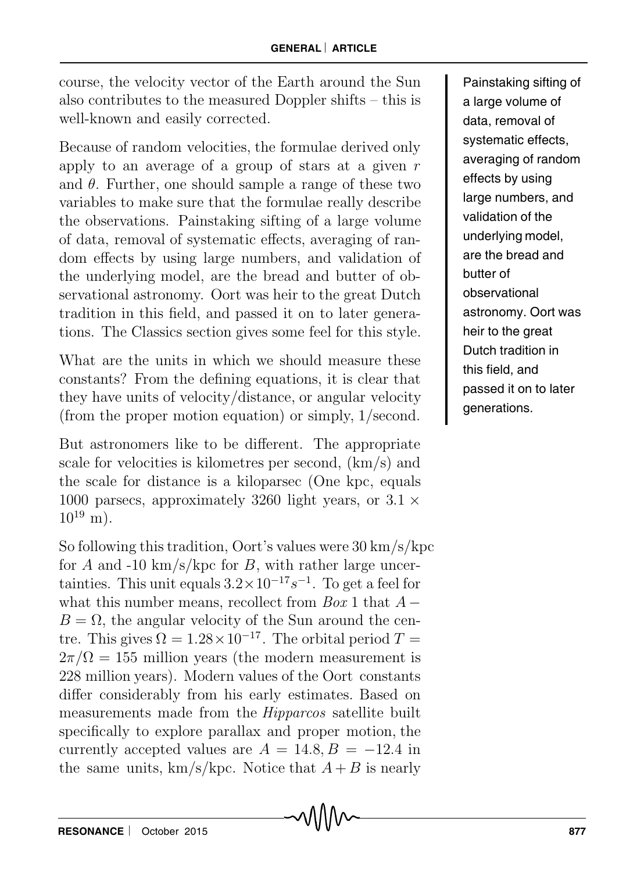course, the velocity vector of the Earth around the Sun also contributes to the measured Doppler shifts – this is well-known and easily corrected.

Because of random velocities, the formulae derived only apply to an average of a group of stars at a given  $r$ and  $\theta$ . Further, one should sample a range of these two variables to make sure that the formulae really describe the observations. Painstaking sifting of a large volume of data, removal of systematic effects, averaging of random effects by using large numbers, and validation of the underlying model, are the bread and butter of observational astronomy. Oort was heir to the great Dutch tradition in this field, and passed it on to later generations. The Classics section gives some feel for this style.

What are the units in which we should measure these constants? From the defining equations, it is clear that they have units of velocity/distance, or angular velocity (from the proper motion equation) or simply, 1/second.

But astronomers like to be different. The appropriate scale for velocities is kilometres per second, (km/s) and the scale for distance is a kiloparsec (One kpc, equals 1000 parsecs, approximately 3260 light years, or  $3.1 \times$  $10^{19}$  m).

So following this tradition, Oort's values were 30 km/s/kpc for A and -10 km/s/kpc for B, with rather large uncertainties. This unit equals  $3.2 \times 10^{-17} s^{-1}$ . To get a feel for what this number means, recollect from  $Box 1$  that  $A B = \Omega$ , the angular velocity of the Sun around the centre. This gives  $\Omega = 1.28 \times 10^{-17}$ . The orbital period  $T =$  $2\pi/\Omega = 155$  million years (the modern measurement is 228 million years). Modern values of the Oort constants differ considerably from his early estimates. Based on measurements made from the Hipparcos satellite built specifically to explore parallax and proper motion, the currently accepted values are  $A = 14.8, B = -12.4$  in the same units,  $km/s/kpc$ . Notice that  $A + B$  is nearly

Painstaking sifting of a large volume of data, removal of systematic effects, averaging of random effects by using large numbers, and validation of the underlying model, are the bread and butter of observational astronomy. Oort was heir to the great Dutch tradition in this field, and passed it on to later generations.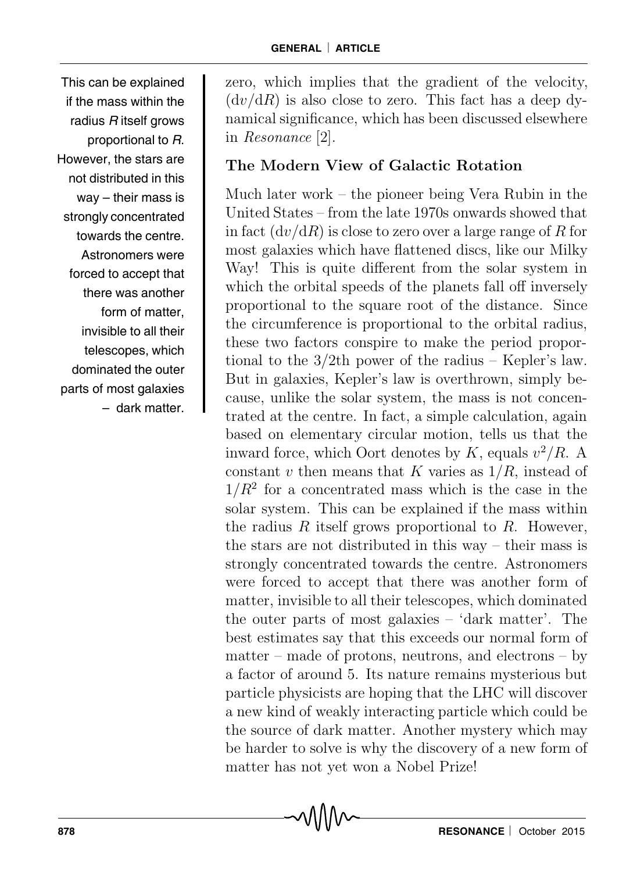This can be explained if the mass within the radius R itself grows proportional to R. However, the stars are not distributed in this way – their mass is strongly concentrated towards the centre. Astronomers were forced to accept that there was another form of matter, invisible to all their telescopes, which dominated the outer parts of most galaxies – dark matter.

zero, which implies that the gradient of the velocity,  $(dv/dR)$  is also close to zero. This fact has a deep dynamical significance, which has been discussed elsewhere in Resonance [2].

# The Modern View of Galactic Rotation

Much later work – the pioneer being Vera Rubin in the United States – from the late 1970s onwards showed that in fact  $(dv/dR)$  is close to zero over a large range of R for most galaxies which have flattened discs, like our Milky Way! This is quite different from the solar system in which the orbital speeds of the planets fall off inversely proportional to the square root of the distance. Since the circumference is proportional to the orbital radius, these two factors conspire to make the period proportional to the 3/2th power of the radius – Kepler's law. But in galaxies, Kepler's law is overthrown, simply because, unlike the solar system, the mass is not concentrated at the centre. In fact, a simple calculation, again based on elementary circular motion, tells us that the inward force, which Oort denotes by K, equals  $v^2/R$ . A constant v then means that K varies as  $1/R$ , instead of  $1/R<sup>2</sup>$  for a concentrated mass which is the case in the solar system. This can be explained if the mass within the radius R itself grows proportional to R. However, the stars are not distributed in this way – their mass is strongly concentrated towards the centre. Astronomers were forced to accept that there was another form of matter, invisible to all their telescopes, which dominated the outer parts of most galaxies – 'dark matter'. The best estimates say that this exceeds our normal form of  $matter - made of protons, neutrons, and electrons - by$ a factor of around 5. Its nature remains mysterious but particle physicists are hoping that the LHC will discover a new kind of weakly interacting particle which could be the source of dark matter. Another mystery which may be harder to solve is why the discovery of a new form of matter has not yet won a Nobel Prize!